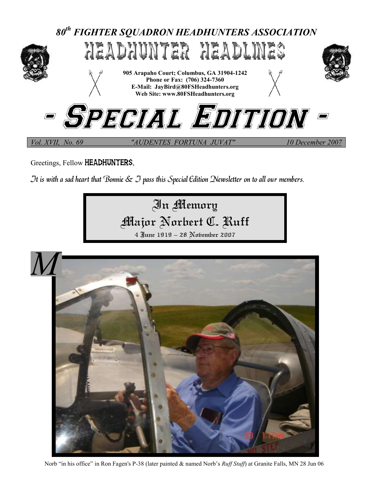

Greetings, Fellow HEADHUNTERS,

It is with a sad heart that Bonnie  $\&$  J pass this Special Edition Newsletter on to all our members.

In Memory Major Norbert C. Ruff 4 June 1919 – 28 November 2007



Norb "in his office" in Ron Fagen's P-38 (later painted & named Norb's *Ruff Stuff*) at Granite Falls, MN 28 Jun 06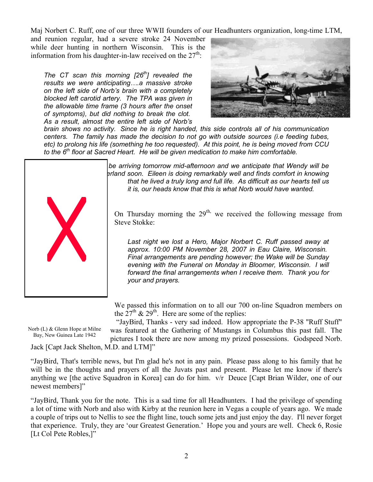Maj Norbert C. Ruff, one of our three WWII founders of our Headhunters organization, long-time LTM,

and reunion regular, had a severe stroke 24 November while deer hunting in northern Wisconsin. This is the information from his daughter-in-law received on the  $27<sup>th</sup>$ .

*The CT scan this morning [26th] revealed the results we were anticipating….a massive stroke on the left side of Norb's brain with a completely blocked left carotid artery. The TPA was given in the allowable time frame (3 hours after the onset of symptoms), but did nothing to break the clot. As a result, almost the entire left side of Norb's* 



*brain shows no activity. Since he is right handed, this side controls all of his communication centers. The family has made the decision to not go with outside sources (i.e feeding tubes, etc) to prolong his life (something he too requested). At this point, he is being moved from CCU to the 6th floor at Sacred Heart. He will be given medication to make him comfortable.*



be arriving tomorrow mid-afternoon and we anticipate that Wendy will be *coming in from Switzerland soon. Eileen is doing remarkably well and finds comfort in knowing that he lived a truly long and full life. As difficult as our hearts tell us it is, our heads know that this is what Norb would have wanted.*

On Thursday morning the  $29<sup>th</sup>$ , we received the following message from Steve Stokke:

*Last night we lost a Hero, Major Norbert C. Ruff passed away at approx. 10:00 PM November 28, 2007 in Eau Claire, Wisconsin. Final arrangements are pending however; the Wake will be Sunday evening with the Funeral on Monday in Bloomer, Wisconsin. I will forward the final arrangements when I receive them. Thank you for your and prayers.*

We passed this information on to all our 700 on-line Squadron members on the  $27<sup>th</sup>$  & 29<sup>th</sup>. Here are some of the replies:

"JayBird, Thanks - very sad indeed. How appropriate the P-38 "Ruff Stuff" was featured at the Gathering of Mustangs in Columbus this past fall. The pictures I took there are now among my prized possessions. Godspeed Norb.

Norb (L) & Glenn Hope at Milne Bay, New Guinea Late 1942

Jack [Capt Jack Shelton, M.D. and LTM]"

"JayBird, That's terrible news, but I'm glad he's not in any pain. Please pass along to his family that he will be in the thoughts and prayers of all the Juvats past and present. Please let me know if there's anything we [the active Squadron in Korea] can do for him. v/r Deuce [Capt Brian Wilder, one of our newest members]"

"JayBird, Thank you for the note. This is a sad time for all Headhunters. I had the privilege of spending a lot of time with Norb and also with Kirby at the reunion here in Vegas a couple of years ago. We made a couple of trips out to Nellis to see the flight line, touch some jets and just enjoy the day. I'll never forget that experience. Truly, they are 'our Greatest Generation.' Hope you and yours are well. Check 6, Rosie [Lt Col Pete Robles,]"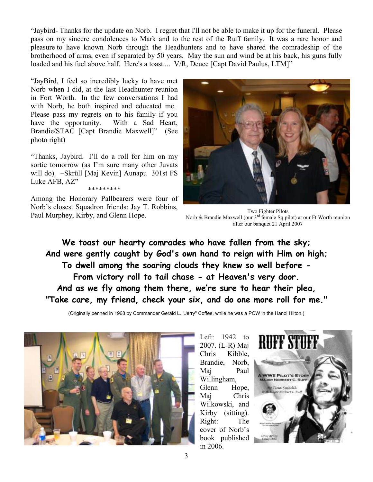"Jaybird- Thanks for the update on Norb. I regret that I'll not be able to make it up for the funeral. Please pass on my sincere condolences to Mark and to the rest of the Ruff family. It was a rare honor and pleasure to have known Norb through the Headhunters and to have shared the comradeship of the brotherhood of arms, even if separated by 50 years. May the sun and wind be at his back, his guns fully loaded and his fuel above half. Here's a toast.... V/R, Deuce [Capt David Paulus, LTM]"

"JayBird, I feel so incredibly lucky to have met Norb when I did, at the last Headhunter reunion in Fort Worth. In the few conversations I had with Norb, he both inspired and educated me. Please pass my regrets on to his family if you have the opportunity. With a Sad Heart, Brandie/STAC [Capt Brandie Maxwell]" (See photo right)

"Thanks, Jaybird. I'll do a roll for him on my sortie tomorrow (as I'm sure many other Juvats will do). –Skrüll [Maj Kevin] Aunapu 301st FS Luke AFB, AZ"

\*\*\*\*\*\*\*\*\*

Among the Honorary Pallbearers were four of Norb's closest Squadron friends: Jay T. Robbins, Paul Murphey, Kirby, and Glenn Hope.



Two Fighter Pilots Norb & Brandie Maxwell (our 3rd female Sq pilot) at our Ft Worth reunion after our banquet 21 April 2007

**We toast our hearty comrades who have fallen from the sky; And were gently caught by God's own hand to reign with Him on high; To dwell among the soaring clouds they knew so well before - From victory roll to tail chase - at Heaven's very door. And as we fly among them there, we're sure to hear their plea, "Take care, my friend, check your six, and do one more roll for me."**

(Originally penned in 1968 by Commander Gerald L. "Jerry" Coffee, while he was a POW in the Hanoi Hilton.)



Left: 1942 to 2007. (L-R) Maj Chris Kibble, Brandie, Norb, Maj Paul Willingham, Glenn Hope, Maj Chris Wilkowski, and Kirby (sitting). Right: The cover of Norb's book published in 2006.

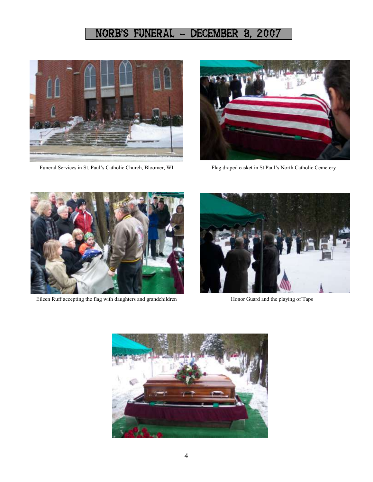## NORB'S FUNERAL – December 3, 2007



Funeral Services in St. Paul's Catholic Church, Bloomer, WI Flag draped casket in St Paul's North Catholic Cemetery





Eileen Ruff accepting the flag with daughters and grandchildren Honor Guard and the playing of Taps



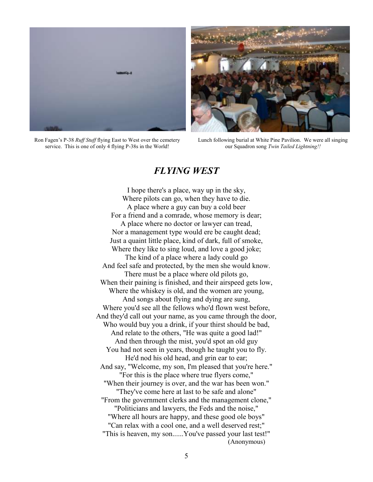

Ron Fagen's P-38 *Ruff Stuff* flying East to West over the cemetery service. This is one of only 4 flying P-38s in the World!



Lunch following burial at White Pine Pavilion. We were all singing our Squadron song *Twin Tailed Lightning!!*

## *FLYING WEST*

I hope there's a place, way up in the sky, Where pilots can go, when they have to die. A place where a guy can buy a cold beer For a friend and a comrade, whose memory is dear; A place where no doctor or lawyer can tread, Nor a management type would ere be caught dead; Just a quaint little place, kind of dark, full of smoke, Where they like to sing loud, and love a good joke; The kind of a place where a lady could go And feel safe and protected, by the men she would know. There must be a place where old pilots go, When their paining is finished, and their airspeed gets low, Where the whiskey is old, and the women are young, And songs about flying and dying are sung, Where you'd see all the fellows who'd flown west before, And they'd call out your name, as you came through the door, Who would buy you a drink, if your thirst should be bad, And relate to the others, "He was quite a good lad!" And then through the mist, you'd spot an old guy You had not seen in years, though he taught you to fly. He'd nod his old head, and grin ear to ear; And say, "Welcome, my son, I'm pleased that you're here." "For this is the place where true flyers come," "When their journey is over, and the war has been won." "They've come here at last to be safe and alone" "From the government clerks and the management clone," "Politicians and lawyers, the Feds and the noise," "Where all hours are happy, and these good ole boys" "Can relax with a cool one, and a well deserved rest;" "This is heaven, my son......You've passed your last test!" (Anonymous)